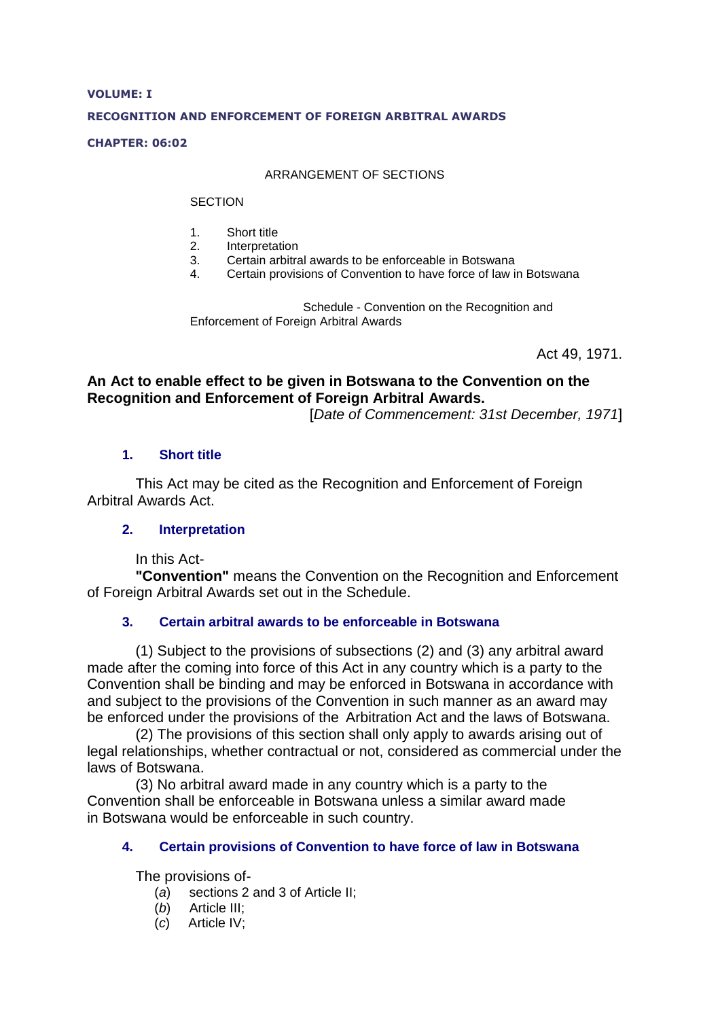# **VOLUME: I RECOGNITION AND ENFORCEMENT OF FOREIGN ARBITRAL AWARDS CHAPTER: 06:02**

#### ARRANGEMENT OF SECTIONS

#### **SECTION**

- 1. Short title
- 2. Interpretation
- 3. Certain arbitral awards to be enforceable in Botswana
- 4. Certain provisions of Convention to have force of law in Botswana

 Schedule - Convention on the Recognition and Enforcement of Foreign Arbitral Awards

Act 49, 1971.

# **An Act to enable effect to be given in Botswana to the Convention on the Recognition and Enforcement of Foreign Arbitral Awards.**

[Date of Commencement: 31st December, 1971]

# **1. Short title**

 This Act may be cited as the Recognition and Enforcement of Foreign Arbitral Awards Act.

# **2. Interpretation**

In this Act-

 **"Convention"** means the Convention on the Recognition and Enforcement of Foreign Arbitral Awards set out in the Schedule.

# **3. Certain arbitral awards to be enforceable in Botswana**

 (1) Subject to the provisions of subsections (2) and (3) any arbitral award made after the coming into force of this Act in any country which is a party to the Convention shall be binding and may be enforced in Botswana in accordance with and subject to the provisions of the Convention in such manner as an award may be enforced under the provisions of the Arbitration Act and the laws of Botswana.

 (2) The provisions of this section shall only apply to awards arising out of legal relationships, whether contractual or not, considered as commercial under the laws of Botswana.

 (3) No arbitral award made in any country which is a party to the Convention shall be enforceable in Botswana unless a similar award made in Botswana would be enforceable in such country.

# **4. Certain provisions of Convention to have force of law in Botswana**

The provisions of-

- (a) sections 2 and 3 of Article II;
- (b) Article III;
- (c) Article IV;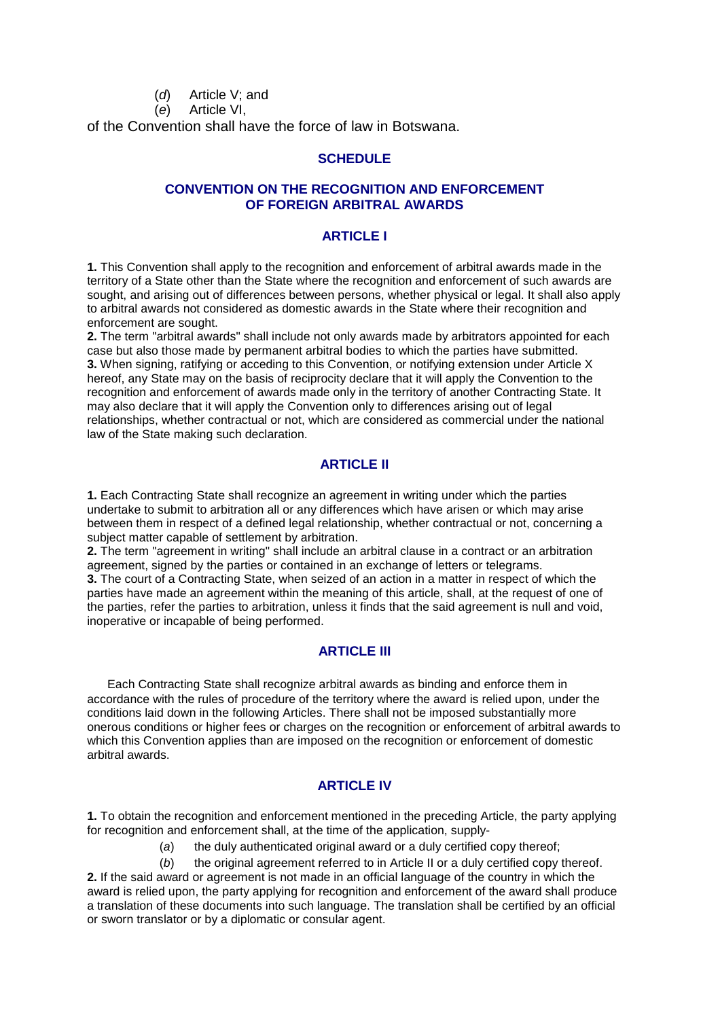(d) Article V; and

(e) Article VI,

of the Convention shall have the force of law in Botswana.

# **SCHEDULE**

#### **CONVENTION ON THE RECOGNITION AND ENFORCEMENT OF FOREIGN ARBITRAL AWARDS**

#### **ARTICLE I**

**1.** This Convention shall apply to the recognition and enforcement of arbitral awards made in the territory of a State other than the State where the recognition and enforcement of such awards are sought, and arising out of differences between persons, whether physical or legal. It shall also apply to arbitral awards not considered as domestic awards in the State where their recognition and enforcement are sought.

**2.** The term "arbitral awards" shall include not only awards made by arbitrators appointed for each case but also those made by permanent arbitral bodies to which the parties have submitted. **3.** When signing, ratifying or acceding to this Convention, or notifying extension under Article X hereof, any State may on the basis of reciprocity declare that it will apply the Convention to the recognition and enforcement of awards made only in the territory of another Contracting State. It may also declare that it will apply the Convention only to differences arising out of legal relationships, whether contractual or not, which are considered as commercial under the national law of the State making such declaration.

# **ARTICLE II**

**1.** Each Contracting State shall recognize an agreement in writing under which the parties undertake to submit to arbitration all or any differences which have arisen or which may arise between them in respect of a defined legal relationship, whether contractual or not, concerning a subject matter capable of settlement by arbitration.

**2.** The term "agreement in writing" shall include an arbitral clause in a contract or an arbitration agreement, signed by the parties or contained in an exchange of letters or telegrams. **3.** The court of a Contracting State, when seized of an action in a matter in respect of which the parties have made an agreement within the meaning of this article, shall, at the request of one of the parties, refer the parties to arbitration, unless it finds that the said agreement is null and void, inoperative or incapable of being performed.

#### **ARTICLE III**

 Each Contracting State shall recognize arbitral awards as binding and enforce them in accordance with the rules of procedure of the territory where the award is relied upon, under the conditions laid down in the following Articles. There shall not be imposed substantially more onerous conditions or higher fees or charges on the recognition or enforcement of arbitral awards to which this Convention applies than are imposed on the recognition or enforcement of domestic arbitral awards.

#### **ARTICLE IV**

**1.** To obtain the recognition and enforcement mentioned in the preceding Article, the party applying for recognition and enforcement shall, at the time of the application, supply-

- (a) the duly authenticated original award or a duly certified copy thereof;
- (b) the original agreement referred to in Article II or a duly certified copy thereof.

**2.** If the said award or agreement is not made in an official language of the country in which the award is relied upon, the party applying for recognition and enforcement of the award shall produce a translation of these documents into such language. The translation shall be certified by an official or sworn translator or by a diplomatic or consular agent.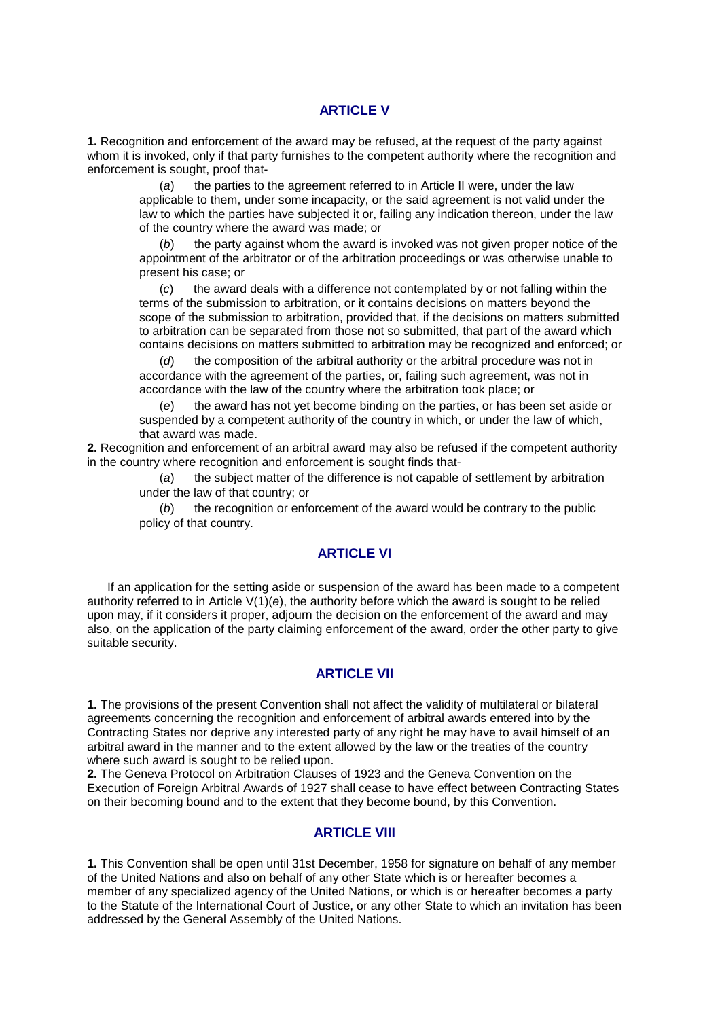#### **ARTICLE V**

**1.** Recognition and enforcement of the award may be refused, at the request of the party against whom it is invoked, only if that party furnishes to the competent authority where the recognition and enforcement is sought, proof that-

 (a) the parties to the agreement referred to in Article II were, under the law applicable to them, under some incapacity, or the said agreement is not valid under the law to which the parties have subjected it or, failing any indication thereon, under the law of the country where the award was made; or

 (b) the party against whom the award is invoked was not given proper notice of the appointment of the arbitrator or of the arbitration proceedings or was otherwise unable to present his case; or

 (c) the award deals with a difference not contemplated by or not falling within the terms of the submission to arbitration, or it contains decisions on matters beyond the scope of the submission to arbitration, provided that, if the decisions on matters submitted to arbitration can be separated from those not so submitted, that part of the award which contains decisions on matters submitted to arbitration may be recognized and enforced; or

(d) the composition of the arbitral authority or the arbitral procedure was not in accordance with the agreement of the parties, or, failing such agreement, was not in accordance with the law of the country where the arbitration took place; or

 (e) the award has not yet become binding on the parties, or has been set aside or suspended by a competent authority of the country in which, or under the law of which, that award was made.

**2.** Recognition and enforcement of an arbitral award may also be refused if the competent authority in the country where recognition and enforcement is sought finds that-

 (a) the subject matter of the difference is not capable of settlement by arbitration under the law of that country; or

 (b) the recognition or enforcement of the award would be contrary to the public policy of that country.

#### **ARTICLE VI**

 If an application for the setting aside or suspension of the award has been made to a competent authority referred to in Article  $V(1)(e)$ , the authority before which the award is sought to be relied upon may, if it considers it proper, adjourn the decision on the enforcement of the award and may also, on the application of the party claiming enforcement of the award, order the other party to give suitable security.

### **ARTICLE VII**

**1.** The provisions of the present Convention shall not affect the validity of multilateral or bilateral agreements concerning the recognition and enforcement of arbitral awards entered into by the Contracting States nor deprive any interested party of any right he may have to avail himself of an arbitral award in the manner and to the extent allowed by the law or the treaties of the country where such award is sought to be relied upon.

**2.** The Geneva Protocol on Arbitration Clauses of 1923 and the Geneva Convention on the Execution of Foreign Arbitral Awards of 1927 shall cease to have effect between Contracting States on their becoming bound and to the extent that they become bound, by this Convention.

#### **ARTICLE VIII**

**1.** This Convention shall be open until 31st December, 1958 for signature on behalf of any member of the United Nations and also on behalf of any other State which is or hereafter becomes a member of any specialized agency of the United Nations, or which is or hereafter becomes a party to the Statute of the International Court of Justice, or any other State to which an invitation has been addressed by the General Assembly of the United Nations.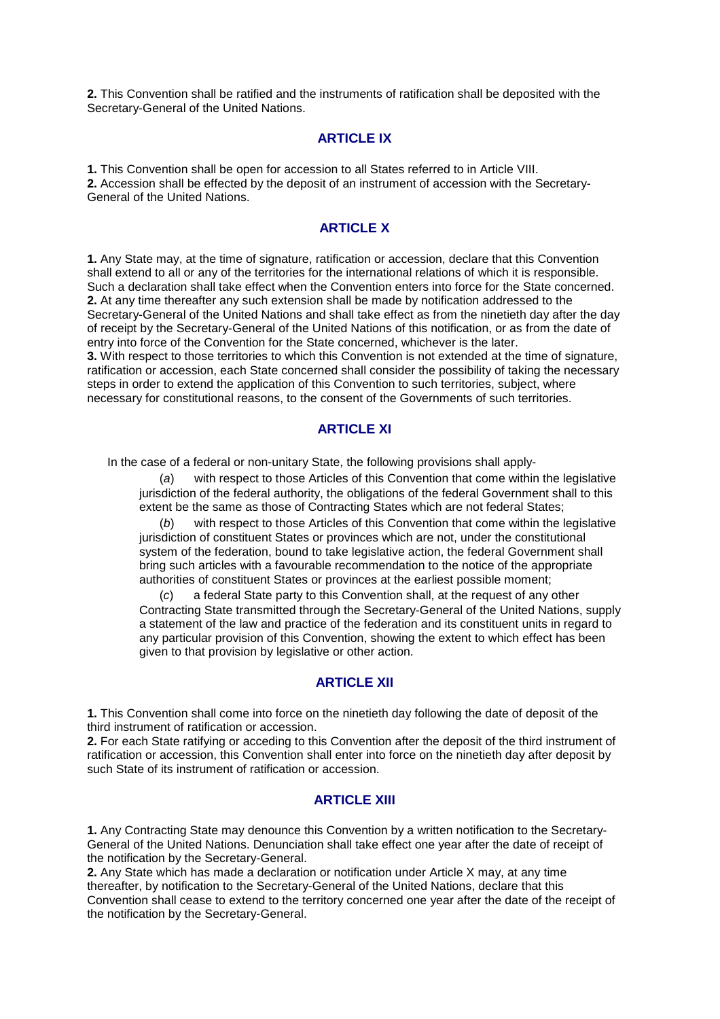**2.** This Convention shall be ratified and the instruments of ratification shall be deposited with the Secretary-General of the United Nations.

#### **ARTICLE IX**

**1.** This Convention shall be open for accession to all States referred to in Article VIII. **2.** Accession shall be effected by the deposit of an instrument of accession with the Secretary-General of the United Nations.

#### **ARTICLE X**

**1.** Any State may, at the time of signature, ratification or accession, declare that this Convention shall extend to all or any of the territories for the international relations of which it is responsible. Such a declaration shall take effect when the Convention enters into force for the State concerned. **2.** At any time thereafter any such extension shall be made by notification addressed to the Secretary-General of the United Nations and shall take effect as from the ninetieth day after the day of receipt by the Secretary-General of the United Nations of this notification, or as from the date of entry into force of the Convention for the State concerned, whichever is the later. **3.** With respect to those territories to which this Convention is not extended at the time of signature, ratification or accession, each State concerned shall consider the possibility of taking the necessary steps in order to extend the application of this Convention to such territories, subject, where necessary for constitutional reasons, to the consent of the Governments of such territories.

#### **ARTICLE XI**

In the case of a federal or non-unitary State, the following provisions shall apply-

with respect to those Articles of this Convention that come within the legislative jurisdiction of the federal authority, the obligations of the federal Government shall to this extent be the same as those of Contracting States which are not federal States;

 (b) with respect to those Articles of this Convention that come within the legislative jurisdiction of constituent States or provinces which are not, under the constitutional system of the federation, bound to take legislative action, the federal Government shall bring such articles with a favourable recommendation to the notice of the appropriate authorities of constituent States or provinces at the earliest possible moment;

 (c) a federal State party to this Convention shall, at the request of any other Contracting State transmitted through the Secretary-General of the United Nations, supply a statement of the law and practice of the federation and its constituent units in regard to any particular provision of this Convention, showing the extent to which effect has been given to that provision by legislative or other action.

#### **ARTICLE XII**

**1.** This Convention shall come into force on the ninetieth day following the date of deposit of the third instrument of ratification or accession.

**2.** For each State ratifying or acceding to this Convention after the deposit of the third instrument of ratification or accession, this Convention shall enter into force on the ninetieth day after deposit by such State of its instrument of ratification or accession.

#### **ARTICLE XIII**

**1.** Any Contracting State may denounce this Convention by a written notification to the Secretary-General of the United Nations. Denunciation shall take effect one year after the date of receipt of the notification by the Secretary-General.

**2.** Any State which has made a declaration or notification under Article X may, at any time thereafter, by notification to the Secretary-General of the United Nations, declare that this Convention shall cease to extend to the territory concerned one year after the date of the receipt of the notification by the Secretary-General.